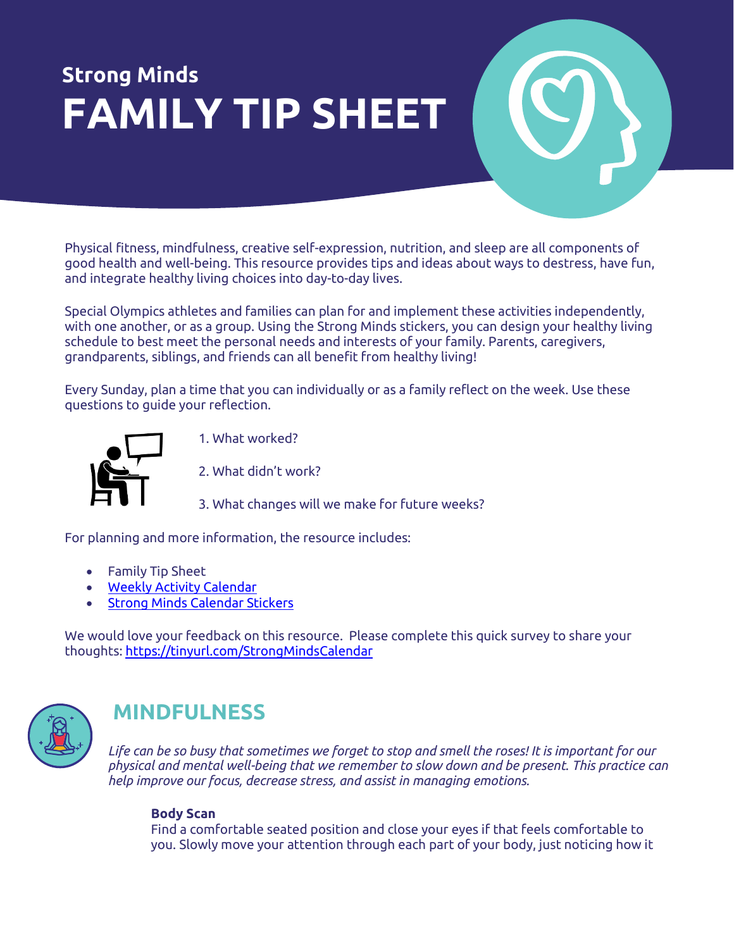# **Strong Minds FAMILY TIP SHEET**

Physical fitness, mindfulness, creative self-expression, nutrition, and sleep are all components of good health and well-being. This resource provides tips and ideas about ways to destress, have fun, and integrate healthy living choices into day-to-day lives.

Special Olympics athletes and families can plan for and implement these activities independently, with one another, or as a group. Using the Strong Minds stickers, you can design your healthy living schedule to best meet the personal needs and interests of your family. Parents, caregivers, grandparents, siblings, and friends can all benefit from healthy living!

Every Sunday, plan a time that you can individually or as a family reflect on the week. Use these questions to guide your reflection.



1. What worked?

2. What didn't work?

3. What changes will we make for future weeks?

For planning and more information, the resource includes:

- Family Tip Sheet
- [Weekly Activity Calendar](https://media.specialolympics.org/resources/health/family-health-forums/Family-Health-Forums-Calendar-2021.pdf?_ga=2.189468715.1637732006.1620654510-64912773.1615914265)
- [Strong Minds Calendar Stickers](https://media.specialolympics.org/resources/health/family-health-forums/Family-Health-Forums-Sticker-Sheet-2021.pdf?_ga=2.189468715.1637732006.1620654510-64912773.1615914265)

We would love your feedback on this resource. Please complete this quick survey to share your thoughts[: https://tinyurl.com/StrongMindsCalendar](https://tinyurl.com/StrongMindsCalendar)



# **MINDFULNESS**

*Life can be so busy that sometimes we forget to stop and smell the roses! It is important for our physical and mental well-being that we remember to slow down and be present. This practice can help improve our focus, decrease stress, and assist in managing emotions.*

### **Body Scan**

Find a comfortable seated position and close your eyes if that feels comfortable to you. Slowly move your attention through each part of your body, just noticing how it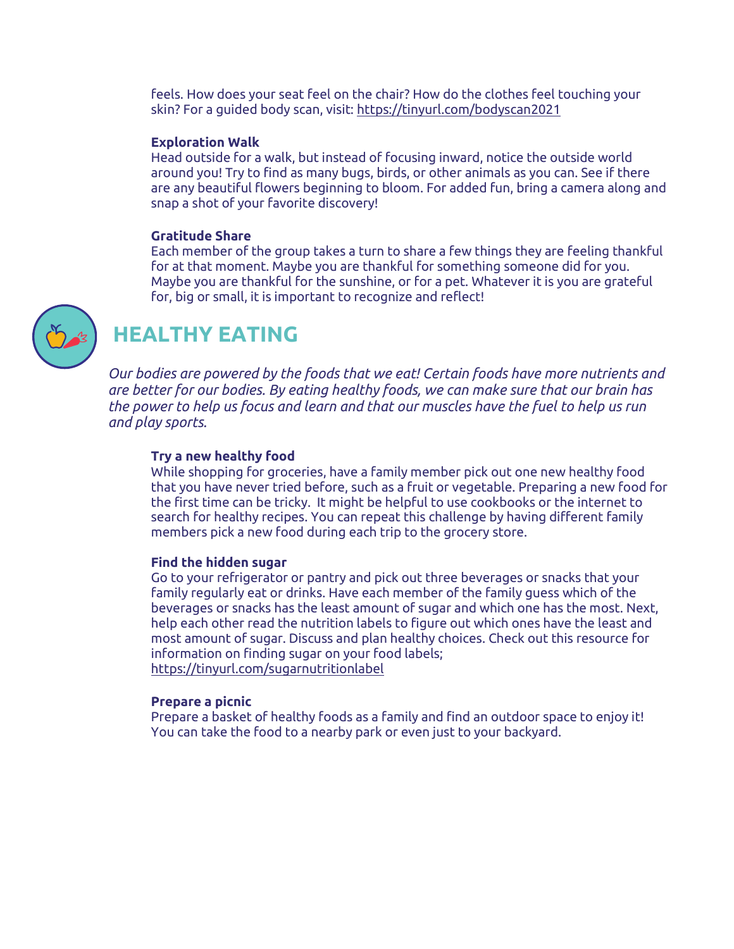feels. How does your seat feel on the chair? How do the clothes feel touching your skin? For a guided body scan, visit[: https://tinyurl.com/bodyscan2021](https://tinyurl.com/bodyscan2021)

#### **Exploration Walk**

Head outside for a walk, but instead of focusing inward, notice the outside world around you! Try to find as many bugs, birds, or other animals as you can. See if there are any beautiful flowers beginning to bloom. For added fun, bring a camera along and snap a shot of your favorite discovery!

#### **Gratitude Share**

Each member of the group takes a turn to share a few things they are feeling thankful for at that moment. Maybe you are thankful for something someone did for you. Maybe you are thankful for the sunshine, or for a pet. Whatever it is you are grateful for, big or small, it is important to recognize and reflect!



# **HEALTHY EATING**

*Our bodies are powered by the foods that we eat! Certain foods have more nutrients and are better for our bodies. By eating healthy foods, we can make sure that our brain has the power to help us focus and learn and that our muscles have the fuel to help us run and play sports.*

#### **Try a new healthy food**

While shopping for groceries, have a family member pick out one new healthy food that you have never tried before, such as a fruit or vegetable. Preparing a new food for the first time can be tricky. It might be helpful to use cookbooks or the internet to search for healthy recipes. You can repeat this challenge by having different family members pick a new food during each trip to the grocery store.

#### **Find the hidden sugar**

Go to your refrigerator or pantry and pick out three beverages or snacks that your family regularly eat or drinks. Have each member of the family guess which of the beverages or snacks has the least amount of sugar and which one has the most. Next, help each other read the nutrition labels to figure out which ones have the least and most amount of sugar. Discuss and plan healthy choices. Check out this resource for information on finding sugar on your food labels; <https://tinyurl.com/sugarnutritionlabel>

#### **Prepare a picnic**

Prepare a basket of healthy foods as a family and find an outdoor space to enjoy it! You can take the food to a nearby park or even just to your backyard.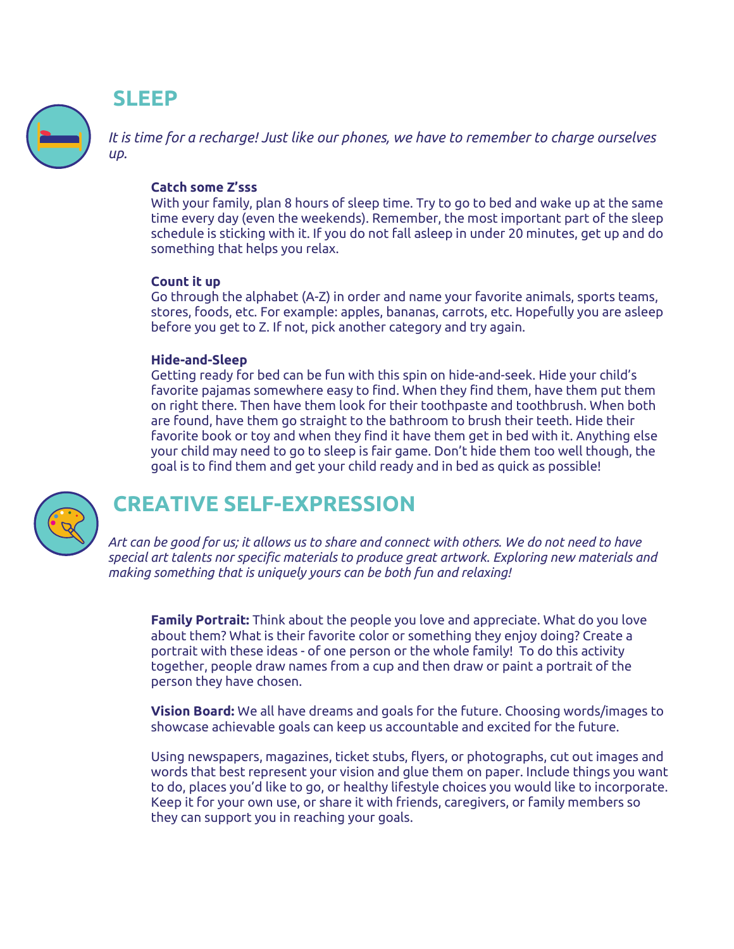## **SLEEP**

*It is time for a recharge! Just like our phones, we have to remember to charge ourselves up.*

### **Catch some Z'sss**

With your family, plan 8 hours of sleep time. Try to go to bed and wake up at the same time every day (even the weekends). Remember, the most important part of the sleep schedule is sticking with it. If you do not fall asleep in under 20 minutes, get up and do something that helps you relax.

### **Count it up**

Go through the alphabet (A-Z) in order and name your favorite animals, sports teams, stores, foods, etc. For example: apples, bananas, carrots, etc. Hopefully you are asleep before you get to Z. If not, pick another category and try again.

### **Hide-and-Sleep**

Getting ready for bed can be fun with this spin on hide-and-seek. Hide your child's favorite pajamas somewhere easy to find. When they find them, have them put them on right there. Then have them look for their toothpaste and toothbrush. When both are found, have them go straight to the bathroom to brush their teeth. Hide their favorite book or toy and when they find it have them get in bed with it. Anything else your child may need to go to sleep is fair game. Don't hide them too well though, the goal is to find them and get your child ready and in bed as quick as possible!



# **CREATIVE SELF-EXPRESSION**

*Art can be good for us; it allows us to share and connect with others. We do not need to have special art talents nor specific materials to produce great artwork. Exploring new materials and making something that is uniquely yours can be both fun and relaxing!*

**Family Portrait:** Think about the people you love and appreciate. What do you love about them? What is their favorite color or something they enjoy doing? Create a portrait with these ideas - of one person or the whole family! To do this activity together, people draw names from a cup and then draw or paint a portrait of the person they have chosen.

**Vision Board:** We all have dreams and goals for the future. Choosing words/images to showcase achievable goals can keep us accountable and excited for the future.

Using newspapers, magazines, ticket stubs, flyers, or photographs, cut out images and words that best represent your vision and glue them on paper. Include things you want to do, places you'd like to go, or healthy lifestyle choices you would like to incorporate. Keep it for your own use, or share it with friends, caregivers, or family members so they can support you in reaching your goals.